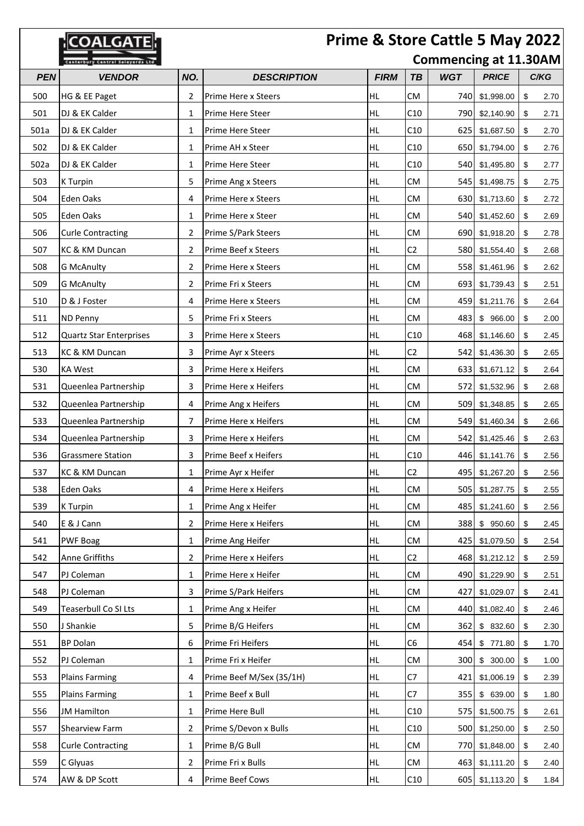|            | Prime & Store Cattle 5 May 2022<br><b>NOALGATE</b> |     |                          |             |                |                              |                |    |      |  |
|------------|----------------------------------------------------|-----|--------------------------|-------------|----------------|------------------------------|----------------|----|------|--|
|            | ury Central Saleyards Ltd                          |     |                          |             |                | <b>Commencing at 11.30AM</b> |                |    |      |  |
| <b>PEN</b> | <b>VENDOR</b>                                      | NO. | <b>DESCRIPTION</b>       | <b>FIRM</b> | TB             | <b>WGT</b>                   | <b>PRICE</b>   |    | C/KG |  |
| 500        | HG & EE Paget                                      | 2   | Prime Here x Steers      | <b>HL</b>   | <b>CM</b>      | 740                          | \$1,998.00     | \$ | 2.70 |  |
| 501        | DJ & EK Calder                                     | 1   | Prime Here Steer         | HL.         | C10            | 790                          | \$2,140.90     | \$ | 2.71 |  |
| 501a       | DJ & EK Calder                                     | 1   | Prime Here Steer         | <b>HL</b>   | C10            | 625                          | \$1,687.50     | \$ | 2.70 |  |
| 502        | DJ & EK Calder                                     | 1   | Prime AH x Steer         | <b>HL</b>   | C10            | 650                          | \$1,794.00     | \$ | 2.76 |  |
| 502a       | DJ & EK Calder                                     | 1   | Prime Here Steer         | <b>HL</b>   | C10            | 540                          | \$1,495.80     | \$ | 2.77 |  |
| 503        | K Turpin                                           | 5   | Prime Ang x Steers       | <b>HL</b>   | <b>CM</b>      | 5451                         | \$1,498.75     | \$ | 2.75 |  |
| 504        | Eden Oaks                                          | 4   | Prime Here x Steers      | <b>HL</b>   | <b>CM</b>      | 630                          | \$1,713.60     | \$ | 2.72 |  |
| 505        | Eden Oaks                                          | 1   | Prime Here x Steer       | HL          | <b>CM</b>      | 540                          | \$1,452.60     | \$ | 2.69 |  |
| 506        | <b>Curle Contracting</b>                           | 2   | Prime S/Park Steers      | <b>HL</b>   | <b>CM</b>      | 690                          | \$1,918.20     | \$ | 2.78 |  |
| 507        | KC & KM Duncan                                     | 2   | Prime Beef x Steers      | <b>HL</b>   | C <sub>2</sub> | 580                          | \$1,554.40     | \$ | 2.68 |  |
| 508        | <b>G McAnulty</b>                                  | 2   | Prime Here x Steers      | <b>HL</b>   | <b>CM</b>      | 558                          | \$1,461.96     | \$ | 2.62 |  |
| 509        | <b>G McAnulty</b>                                  | 2   | Prime Fri x Steers       | <b>HL</b>   | <b>CM</b>      | 6931                         | \$1,739.43     | \$ | 2.51 |  |
| 510        | D & J Foster                                       | 4   | Prime Here x Steers      | HL          | <b>CM</b>      | 459                          | \$1,211.76     | \$ | 2.64 |  |
| 511        | ND Penny                                           | 5   | Prime Fri x Steers       | <b>HL</b>   | <b>CM</b>      | 483                          | \$966.00       | \$ | 2.00 |  |
| 512        | <b>Quartz Star Enterprises</b>                     | 3   | Prime Here x Steers      | <b>HL</b>   | C10            | 468                          | \$1,146.60     | \$ | 2.45 |  |
| 513        | KC & KM Duncan                                     | 3   | Prime Ayr x Steers       | HL          | C <sub>2</sub> | 542                          | \$1,436.30     | \$ | 2.65 |  |
| 530        | <b>KA West</b>                                     | 3   | Prime Here x Heifers     | <b>HL</b>   | <b>CM</b>      | 633                          | \$1,671.12     | \$ | 2.64 |  |
| 531        | Queenlea Partnership                               | 3   | Prime Here x Heifers     | HL          | <b>CM</b>      | 572                          | \$1,532.96     | \$ | 2.68 |  |
| 532        | Queenlea Partnership                               | 4   | Prime Ang x Heifers      | HL          | <b>CM</b>      | 509                          | \$1,348.85     | \$ | 2.65 |  |
| 533        | Queenlea Partnership                               | 7   | Prime Here x Heifers     | <b>HL</b>   | <b>CM</b>      | 549                          | \$1,460.34     | \$ | 2.66 |  |
| 534        | Queenlea Partnership                               | 3   | Prime Here x Heifers     | HL          | <b>CM</b>      | 542                          | \$1,425.46     | \$ | 2.63 |  |
| 536        | <b>Grassmere Station</b>                           | 3   | Prime Beef x Heifers     | <b>HL</b>   | C10            | 446                          | \$1,141.76     | \$ | 2.56 |  |
| 537        | KC & KM Duncan                                     | 1   | Prime Ayr x Heifer       | <b>HL</b>   | C <sub>2</sub> | 495                          | \$1,267.20     | \$ | 2.56 |  |
| 538        | Eden Oaks                                          | 4   | Prime Here x Heifers     | HL.         | <b>CM</b>      | 505                          | \$1,287.75     | \$ | 2.55 |  |
| 539        | K Turpin                                           | 1   | Prime Ang x Heifer       | HL.         | <b>CM</b>      | 485                          | \$1,241.60     | \$ | 2.56 |  |
| 540        | E & J Cann                                         | 2   | Prime Here x Heifers     | HL          | <b>CM</b>      | 388                          | \$950.60       | \$ | 2.45 |  |
| 541        | <b>PWF Boag</b>                                    | 1   | Prime Ang Heifer         | HL.         | <b>CM</b>      | 425                          | \$1,079.50     | \$ | 2.54 |  |
| 542        | Anne Griffiths                                     | 2   | Prime Here x Heifers     | HL          | C2             | 468                          | \$1,212.12     | \$ | 2.59 |  |
| 547        | PJ Coleman                                         | 1   | Prime Here x Heifer      | HL.         | <b>CM</b>      | 490                          | \$1,229.90     | \$ | 2.51 |  |
| 548        | PJ Coleman                                         | 3   | Prime S/Park Heifers     | HL          | <b>CM</b>      | 427                          | \$1,029.07     | \$ | 2.41 |  |
| 549        | Teaserbull Co SI Lts                               | 1   | Prime Ang x Heifer       | HL.         | CM             | 440                          | \$1,082.40     | \$ | 2.46 |  |
| 550        | J Shankie                                          | 5   | Prime B/G Heifers        | HL.         | <b>CM</b>      | 362                          | \$ 832.60      | \$ | 2.30 |  |
| 551        | <b>BP Dolan</b>                                    | 6   | Prime Fri Heifers        | HL          | C6             | 454                          | \$771.80       | \$ | 1.70 |  |
| 552        | PJ Coleman                                         | 1   | Prime Fri x Heifer       | HL.         | <b>CM</b>      | 300                          | \$<br>300.00   | \$ | 1.00 |  |
| 553        | <b>Plains Farming</b>                              | 4   | Prime Beef M/Sex (3S/1H) | <b>HL</b>   | C7             | 421                          | \$1,006.19     | \$ | 2.39 |  |
| 555        | <b>Plains Farming</b>                              | 1   | Prime Beef x Bull        | <b>HL</b>   | C7             | 355                          | \$ 639.00      | \$ | 1.80 |  |
| 556        | <b>JM Hamilton</b>                                 | 1   | Prime Here Bull          | HL.         | C10            | 575                          | \$1,500.75     | \$ | 2.61 |  |
| 557        | Shearview Farm                                     | 2   | Prime S/Devon x Bulls    | HL          | C10            | 500                          | \$1,250.00     | \$ | 2.50 |  |
| 558        | <b>Curle Contracting</b>                           | 1   | Prime B/G Bull           | HL          | <b>CM</b>      | 770                          | \$1,848.00     | \$ | 2.40 |  |
| 559        | C Glyuas                                           | 2   | Prime Fri x Bulls        | HL          | CM             | 463                          | \$1,111.20     | \$ | 2.40 |  |
| 574        | AW & DP Scott                                      | 4   | Prime Beef Cows          | HL.         | C10            |                              | 605 \$1,113.20 | \$ | 1.84 |  |